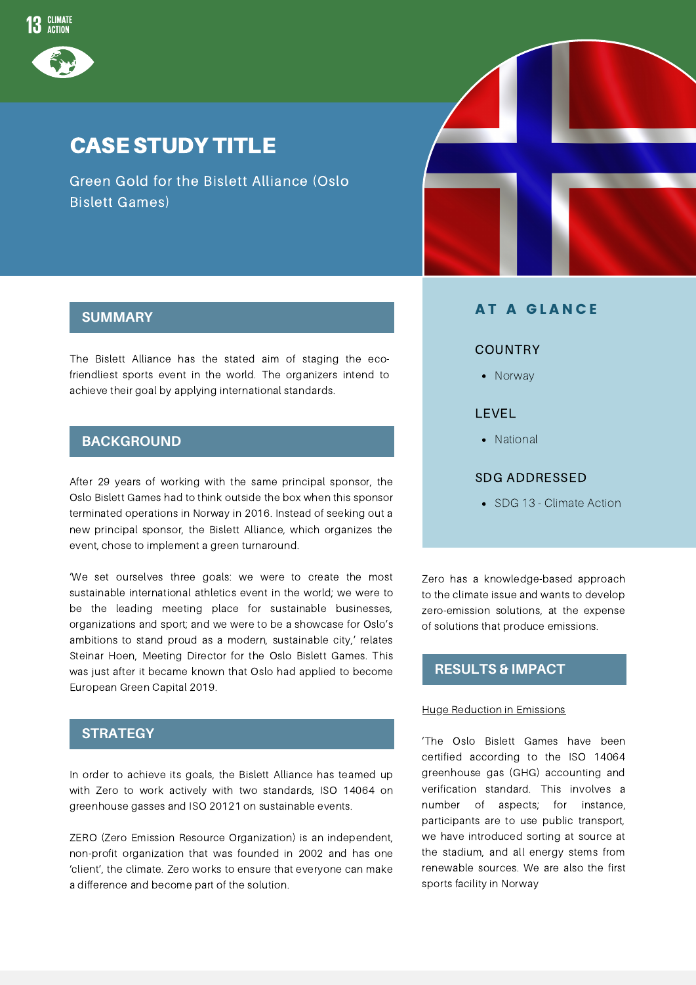

# CASE STUDY TITLE

Green Gold for the Bislett Alliance (Oslo Bislett Games)



### **SUMMARY**

The Bislett Alliance has the stated aim of staging the ecofriendliest sports event in the world. The organizers intend to achieve their goal by applying international standards.

### **BACKGROUND**

After 29 years of working with the same principal sponsor, the Oslo Bislett Games had to think outside the box when this sponsor terminated operations in Norway in 2016. Instead of seeking out a new principal sponsor, the Bislett Alliance, which organizes the event, chose to implement a green turnaround.

'We set ourselves three goals: we were to create the most sustainable international athletics event in the world; we were to be the leading meeting place for sustainable businesses, organizations and sport; and we were to be a showcase for Oslo's ambitions to stand proud as a modern, sustainable city,' relates Steinar Hoen, Meeting Director for the Oslo Bislett Games. This was just after it became known that Oslo had applied to become European Green Capital 2019.

# **STRATEGY**

In order to achieve its goals, the Bislett Alliance has teamed up with Zero to work actively with two standards, ISO 14064 on greenhouse gasses and ISO 20121 on sustainable events.

ZERO (Zero Emission Resource Organization) is an independent, non-profit organization that was founded in 2002 and has one 'client', the climate. Zero works to ensure that everyone can make a difference and become part of the solution.

## **AT A GLANCE**

#### **COUNTRY**

• Norway

### LEVEL

• National

#### SDG ADDRESSED

• SDG 13 - Climate Action

Zero has a knowledge-based approach to the climate issue and wants to develop zero-emission solutions, at the expense of solutions that produce emissions.

# **RESULTS & IMPACT**

#### **Huge Reduction in Emissions**

'The Oslo Bislett Games have been certified according to the ISO 14064 greenhouse gas (GHG) accounting and verification standard. This involves a number of aspects; for instance, participants are to use public transport, we have introduced sorting at source at the stadium, and all energy stems from renewable sources. We are also the first sports facility in Norway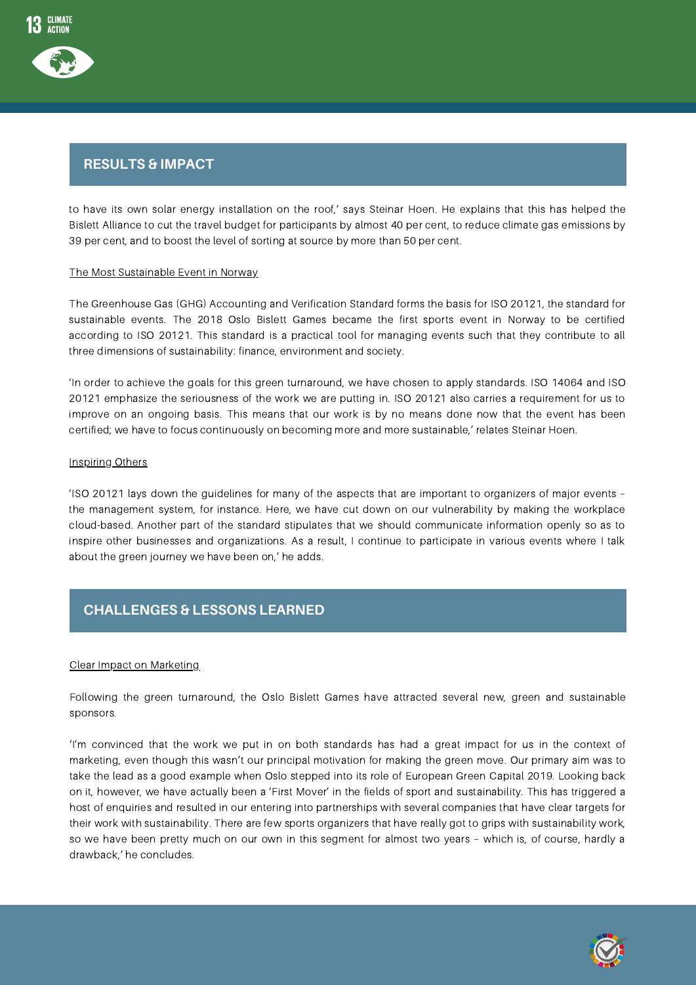# Strategy **RESULTS & IMPACT**

to have its own solar energy installation on the roof,' says Steinar Hoen. He explains that this has helped the Bislett Alliance to cut the travel budget for participants by almost 40 per cent, to reduce climate gas emissions by 39 per cent, and to boost the level of sorting at source by more than 50 per cent.

#### The Most Sustainable Event in Norway

The Greenhouse Gas (GHG) Accounting and Verification Standard forms the basis for ISO 20121, the standard for sustainable events. The 2018 Oslo Bislett Games became the first sports event in Norway to be certified according to ISO 20121. This standard is a practical tool for managing events such that they contribute to all three dimensions of sustainability: finance, environment and society.

'In order to achieve the goals for this green turnaround, we have chosen to apply standards. ISO 14064 and ISO 20121 emphasize the seriousness of the work we are putting in. ISO 20121 also carries a requirement for us to improve on an ongoing basis. This means that our work is by no means done now that the event has been certified; we have to focus continuously on becoming more and more sustainable,' relates Steinar Hoen.

#### Inspiring Others

'ISO 20121 lays down the guidelines for many of the aspects that are important to organizers of major events – the management system, for instance. Here, we have cut down on our vulnerability by making the workplace cloud-based. Another part of the standard stipulates that we should communicate information openly so as to inspire other businesses and organizations. As a result, I continue to participate in various events where I talk about the green journey we have been on,' he adds.

# Strategy **CHALLENGES & LESSONS LEARNED**

#### Clear Impact on Marketing

Following the green turnaround, the Oslo Bislett Games have attracted several new, green and sustainable sponsors.

'I'm convinced that the work we put in on both standards has had a great impact for us in the context of marketing, even though this wasn't our principal motivation for making the green move. Our primary aim was to take the lead as a good example when Oslo stepped into its role of European Green Capital 2019. Looking back on it, however, we have actually been a 'First Mover' in the fields of sport and sustainability. This has triggered a host of enquiries and resulted in our entering into partnerships with several companies that have clear targets for their work with sustainability. There are few sports organizers that have really got to grips with sustainability work, so we have been pretty much on our own in this segment for almost two years – which is, of course, hardly a drawback,' he concludes.